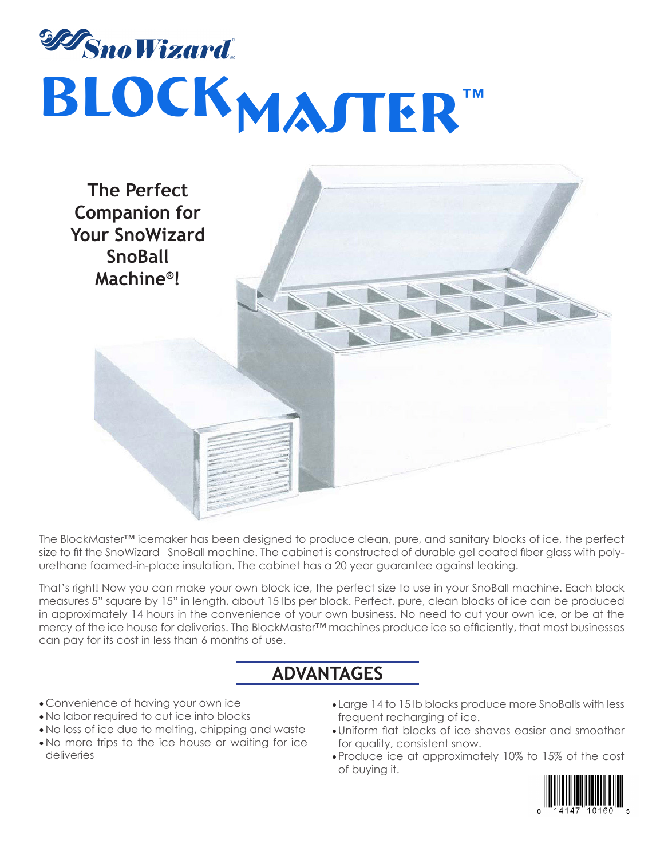



The BlockMaster™ icemaker has been designed to produce clean, pure, and sanitary blocks of ice, the perfect size to fit the SnoWizard SnoBall machine. The cabinet is constructed of durable gel coated fiber glass with polyurethane foamed-in-place insulation. The cabinet has a 20 year guarantee against leaking.

That's right! Now you can make your own block ice, the perfect size to use in your SnoBall machine. Each block measures 5" square by 15" in length, about 15 lbs per block. Perfect, pure, clean blocks of ice can be produced in approximately 14 hours in the convenience of your own business. No need to cut your own ice, or be at the mercy of the ice house for deliveries. The BlockMaster™ machines produce ice so efficiently, that most businesses can pay for its cost in less than 6 months of use.

## **ADVANTAGES**

- Convenience of having your own ice
- • No labor required to cut ice into blocks
- • No loss of ice due to melting, chipping and waste
- No more trips to the ice house or waiting for ice deliveries
- Large 14 to 15 lb blocks produce more SnoBalls with less frequent recharging of ice.
- • Uniform flat blocks of ice shaves easier and smoother for quality, consistent snow.
- • Produce ice at approximately 10% to 15% of the cost of buying it.